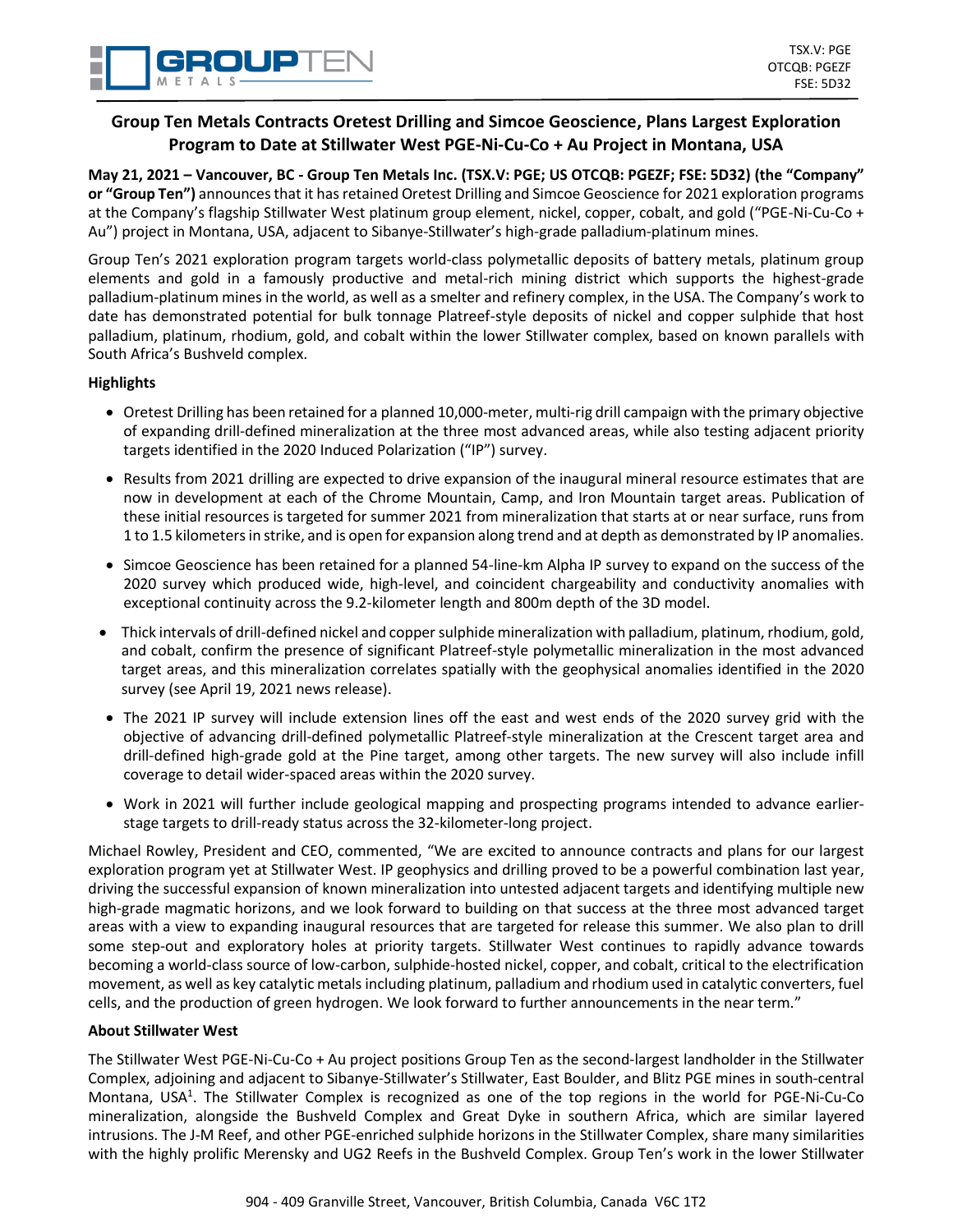# **Group Ten Metals Contracts Oretest Drilling and Simcoe Geoscience, Plans Largest Exploration Program to Date at Stillwater West PGE-Ni-Cu-Co + Au Project in Montana, USA**

**May 21, 2021 – Vancouver, BC - Group Ten Metals Inc. (TSX.V: PGE; US OTCQB: PGEZF; FSE: 5D32) (the "Company" or "Group Ten")** announces that it has retained Oretest Drilling and Simcoe Geoscience for 2021 exploration programs at the Company's flagship Stillwater West platinum group element, nickel, copper, cobalt, and gold ("PGE-Ni-Cu-Co + Au") project in Montana, USA, adjacent to Sibanye-Stillwater's high-grade palladium-platinum mines.

Group Ten's 2021 exploration program targets world-class polymetallic deposits of battery metals, platinum group elements and gold in a famously productive and metal-rich mining district which supports the highest-grade palladium-platinum mines in the world, as well as a smelter and refinery complex, in the USA. The Company's work to date has demonstrated potential for bulk tonnage Platreef-style deposits of nickel and copper sulphide that host palladium, platinum, rhodium, gold, and cobalt within the lower Stillwater complex, based on known parallels with South Africa's Bushveld complex.

## **Highlights**

- Oretest Drilling has been retained for a planned 10,000-meter, multi-rig drill campaign with the primary objective of expanding drill-defined mineralization at the three most advanced areas, while also testing adjacent priority targets identified in the 2020 Induced Polarization ("IP") survey.
- Results from 2021 drilling are expected to drive expansion of the inaugural mineral resource estimates that are now in development at each of the Chrome Mountain, Camp, and Iron Mountain target areas. Publication of these initial resources is targeted for summer 2021 from mineralization that starts at or near surface, runs from 1 to 1.5 kilometers in strike, and is open for expansion along trend and at depth as demonstrated by IP anomalies.
- Simcoe Geoscience has been retained for a planned 54-line-km Alpha IP survey to expand on the success of the 2020 survey which produced wide, high-level, and coincident chargeability and conductivity anomalies with exceptional continuity across the 9.2-kilometer length and 800m depth of the 3D model.
- Thick intervals of drill-defined nickel and copper sulphide mineralization with palladium, platinum, rhodium, gold, and cobalt, confirm the presence of significant Platreef-style polymetallic mineralization in the most advanced target areas, and this mineralization correlates spatially with the geophysical anomalies identified in the 2020 survey (see April 19, 2021 news release).
- The 2021 IP survey will include extension lines off the east and west ends of the 2020 survey grid with the objective of advancing drill-defined polymetallic Platreef-style mineralization at the Crescent target area and drill-defined high-grade gold at the Pine target, among other targets. The new survey will also include infill coverage to detail wider-spaced areas within the 2020 survey.
- Work in 2021 will further include geological mapping and prospecting programs intended to advance earlierstage targets to drill-ready status across the 32-kilometer-long project.

Michael Rowley, President and CEO, commented, "We are excited to announce contracts and plans for our largest exploration program yet at Stillwater West. IP geophysics and drilling proved to be a powerful combination last year, driving the successful expansion of known mineralization into untested adjacent targets and identifying multiple new high-grade magmatic horizons, and we look forward to building on that success at the three most advanced target areas with a view to expanding inaugural resources that are targeted for release this summer. We also plan to drill some step-out and exploratory holes at priority targets. Stillwater West continues to rapidly advance towards becoming a world-class source of low-carbon, sulphide-hosted nickel, copper, and cobalt, critical to the electrification movement, as well as key catalytic metals including platinum, palladium and rhodium used in catalytic converters, fuel cells, and the production of green hydrogen. We look forward to further announcements in the near term."

### **About Stillwater West**

The Stillwater West PGE-Ni-Cu-Co + Au project positions Group Ten as the second-largest landholder in the Stillwater Complex, adjoining and adjacent to Sibanye-Stillwater's Stillwater, East Boulder, and Blitz PGE mines in south-central Montana, USA<sup>1</sup>. The Stillwater Complex is recognized as one of the top regions in the world for PGE-Ni-Cu-Co mineralization, alongside the Bushveld Complex and Great Dyke in southern Africa, which are similar layered intrusions. The J-M Reef, and other PGE-enriched sulphide horizons in the Stillwater Complex, share many similarities with the highly prolific Merensky and UG2 Reefs in the Bushveld Complex. Group Ten's work in the lower Stillwater